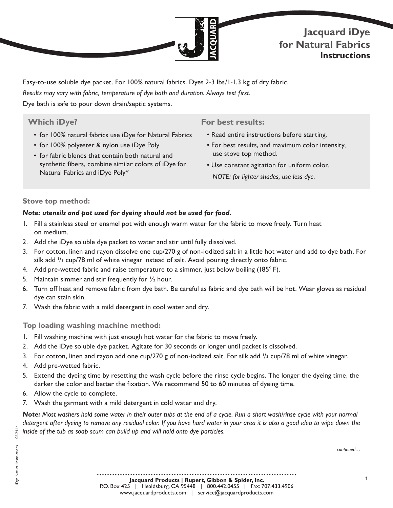

Easy-to-use soluble dye packet. For 100% natural fabrics. Dyes 2-3 lbs/1-1.3 kg of dry fabric. *Results may vary with fabric, temperature of dye bath and duration. Always test first.*  Dye bath is safe to pour down drain/septic systems.

# **Which iDye?**

- for 100% natural fabrics use iDye for Natural Fabrics
- for 100% polyester & nylon use iDye Poly
- for fabric blends that contain both natural and synthetic fibers, combine similar colors of iDye for Natural Fabrics and iDye Poly\*

## **For best results:**

- Read entire instructions before starting.
- For best results, and maximum color intensity, use stove top method.
- Use constant agitation for uniform color. *NOTE: for lighter shades, use less dye.*

### **Stove top method:**

### *Note: utensils and pot used for dyeing should not be used for food.*

- 1. Fill a stainless steel or enamel pot with enough warm water for the fabric to move freely. Turn heat on medium.
- 2. Add the iDye soluble dye packet to water and stir until fully dissolved.
- 3. For cotton, linen and rayon dissolve one cup/270 g of non-iodized salt in a little hot water and add to dye bath. For silk add  $\frac{1}{3}$  cup/78 ml of white vinegar instead of salt. Avoid pouring directly onto fabric.
- 4. Add pre-wetted fabric and raise temperature to a simmer, just below boiling (185° F).
- 5. Maintain simmer and stir frequently for ½ hour.
- 6. Turn off heat and remove fabric from dye bath. Be careful as fabric and dye bath will be hot. Wear gloves as residual dye can stain skin.
- 7. Wash the fabric with a mild detergent in cool water and dry.

#### **Top loading washing machine method:**

- 1. Fill washing machine with just enough hot water for the fabric to move freely.
- 2. Add the iDye soluble dye packet. Agitate for 30 seconds or longer until packet is dissolved.
- 3. For cotton, linen and rayon add one cup/270 g of non-iodized salt. For silk add <sup>1</sup>/<sub>3</sub> cup/78 ml of white vinegar.
- 4. Add pre-wetted fabric.
- 5. Extend the dyeing time by resetting the wash cycle before the rinse cycle begins. The longer the dyeing time, the darker the color and better the fixation. We recommend 50 to 60 minutes of dyeing time.
- 6. Allow the cycle to complete.
- 7. Wash the garment with a mild detergent in cold water and dry.

*Note: Most washers hold some water in their outer tubs at the end of a cycle. Run a short wash/rinse cycle with your normal detergent after dyeing to remove any residual color. If you have hard water in your area it is also a good idea to wipe down the inside of the tub as soap scum can build up and will hold onto dye particles.*

*continued…*

iDye Natural Instructions 06.24.14

Dye Natural Instructions

06.24.14